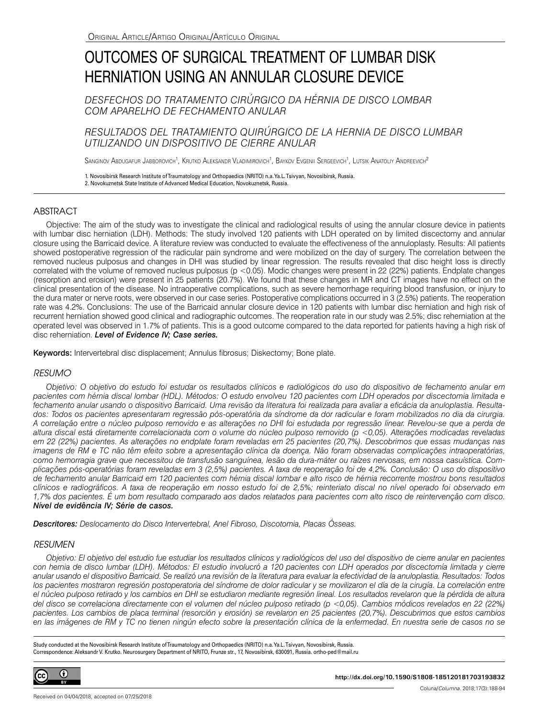# OUTCOMES OF SURGICAL TREATMENT OF LUMBAR DISK HERNIATION USING AN ANNULAR CLOSURE DEVICE

*DESFECHOS DO TRATAMENTO CIRÚRGICO DA HÉRNIA DE DISCO LOMBAR COM APARELHO DE FECHAMENTO ANULAR*

*RESULTADOS DEL TRATAMIENTO QUIRÚRGICO DE LA HERNIA DE DISCO LUMBAR UTILIZANDO UN DISPOSITIVO DE CIERRE ANULAR*

Sanginov Abdugafur Jabborovich<sup>1</sup>, Krutko Aleksandr Vladimirovich<sup>1</sup>, Baykov Evgenii Sergeevich<sup>1</sup>, Lutsik Anatoliy Andreevich<sup>2</sup>

1. Novosibirsk Research Institute of Traumatology and Orthopaedics (NRITO) n.a. Ya.L. Tsivyan, Novosibirsk, Russia. 2. Novokuznetsk State Institute of Advanced Medical Education, Novokuznetsk, Russia.

# ABSTRACT

Objective: The aim of the study was to investigate the clinical and radiological results of using the annular closure device in patients with lumbar disc herniation (LDH). Methods: The study involved 120 patients with LDH operated on by limited discectomy and annular closure using the Barricaid device. A literature review was conducted to evaluate the effectiveness of the annuloplasty. Results: All patients showed postoperative regression of the radicular pain syndrome and were mobilized on the day of surgery. The correlation between the removed nucleus pulposus and changes in DHI was studied by linear regression. The results revealed that disc height loss is directly correlated with the volume of removed nucleus pulposus (p <0.05). Modic changes were present in 22 (22%) patients. Endplate changes (resorption and erosion) were present in 25 patients (20.7%). We found that these changes in MR and CT images have no effect on the clinical presentation of the disease. No intraoperative complications, such as severe hemorrhage requiring blood transfusion, or injury to the dura mater or nerve roots, were observed in our case series. Postoperative complications occurred in 3 (2.5%) patients. The reoperation rate was 4.2%. Conclusions: The use of the Barricaid annular closure device in 120 patients with lumbar disc herniation and high risk of recurrent herniation showed good clinical and radiographic outcomes. The reoperation rate in our study was 2.5%; disc reherniation at the operated level was observed in 1.7% of patients. This is a good outcome compared to the data reported for patients having a high risk of disc reherniation. *Level of Evidence IV; Case series.*

Keywords: Intervertebral disc displacement; Annulus fibrosus; Diskectomy; Bone plate.

# *RESUMO*

*Objetivo: O objetivo do estudo foi estudar os resultados clínicos e radiológicos do uso do dispositivo de fechamento anular em pacientes com hérnia discal lombar (HDL). Métodos: O estudo envolveu 120 pacientes com LDH operados por discectomia limitada e fechamento anular usando o dispositivo Barricaid. Uma revisão da literatura foi realizada para avaliar a eficácia da anuloplastia. Resultados: Todos os pacientes apresentaram regressão pós-operatória da síndrome da dor radicular e foram mobilizados no dia da cirurgia. A correlação entre o núcleo pulposo removido e as alterações no DHI foi estudada por regressão linear. Revelou-se que a perda de altura discal está diretamente correlacionada com o volume do núcleo pulposo removido (p <0,05). Alterações modicadas reveladas em 22 (22%) pacientes. As alterações no endplate foram reveladas em 25 pacientes (20,7%). Descobrimos que essas mudanças nas imagens de RM e TC não têm efeito sobre a apresentação clínica da doença. Não foram observadas complicações intraoperatórias, como hemorragia grave que necessitou de transfusão sanguínea, lesão da dura-máter ou raízes nervosas, em nossa casuística. Complicações pós-operatórias foram reveladas em 3 (2,5%) pacientes. A taxa de reoperação foi de 4,2%. Conclusão: O uso do dispositivo de fechamento anular Barricaid em 120 pacientes com hérnia discal lombar e alto risco de hérnia recorrente mostrou bons resultados clínicos e radiográficos. A taxa de reoperação em nosso estudo foi de 2,5%; reinteriato discal no nível operado foi observado em 1,7% dos pacientes. É um bom resultado comparado aos dados relatados para pacientes com alto risco de reintervenção com disco. Nível de evidência IV; Série de casos.*

*Descritores: Deslocamento do Disco Intervertebral, Anel Fibroso, Discotomia, Placas Ósseas.*

# *RESUMEN*

*Objetivo: El objetivo del estudio fue estudiar los resultados clínicos y radiológicos del uso del dispositivo de cierre anular en pacientes con hernia de disco lumbar (LDH). Métodos: El estudio involucró a 120 pacientes con LDH operados por discectomía limitada y cierre anular usando el dispositivo Barricaid. Se realizó una revisión de la literatura para evaluar la efectividad de la anuloplastia. Resultados: Todos*  los pacientes mostraron regresión postoperatoria del síndrome de dolor radicular y se movilizaron el día de la cirugía. La correlación entre *el núcleo pulposo retirado y los cambios en DHI se estudiaron mediante regresión lineal. Los resultados revelaron que la pérdida de altura del disco se correlaciona directamente con el volumen del núcleo pulposo retirado (p <0,05). Cambios módicos revelados en 22 (22%) pacientes. Los cambios de placa terminal (resorción y erosión) se revelaron en 25 pacientes (20,7%). Descubrimos que estos cambios en las imágenes de RM y TC no tienen ningún efecto sobre la presentación clínica de la enfermedad. En nuestra serie de casos no se* 

Study conducted at the Novosibirsk Research Institute of Traumatology and Orthopaedics (NRITO) n.a. Ya.L. Tsivyan, Novosibirsk, Russia. Correspondence: Aleksandr V. Krutko. Neurosurgery Department of NRITO, Frunze str., 17, Novosibirsk, 630091, Russia. ortho-ped@mail.ru

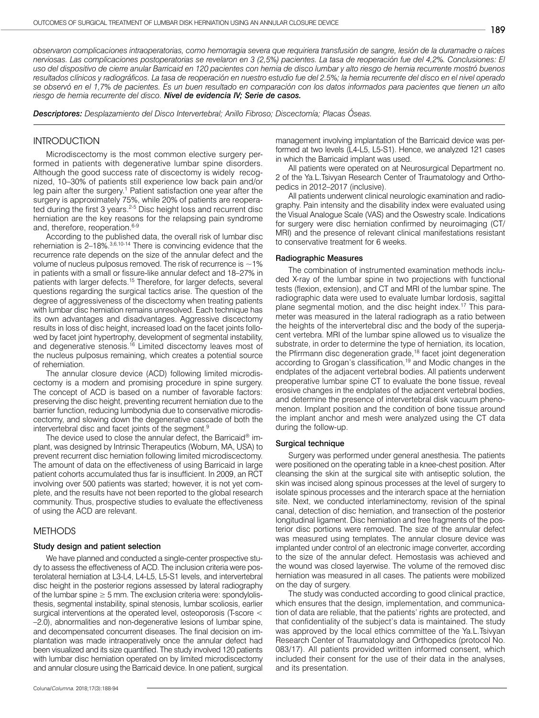*observaron complicaciones intraoperatorias, como hemorragia severa que requiriera transfusión de sangre, lesión de la duramadre o raíces nerviosas. Las complicaciones postoperatorias se revelaron en 3 (2,5%) pacientes. La tasa de reoperación fue del 4,2%. Conclusiones: El uso del dispositivo de cierre anular Barricaid en 120 pacientes con hernia de disco lumbar y alto riesgo de hernia recurrente mostró buenos resultados clínicos y radiográficos. La tasa de reoperación en nuestro estudio fue del 2.5%; la hernia recurrente del disco en el nivel operado se observó en el 1,7% de pacientes. Es un buen resultado en comparación con los datos informados para pacientes que tienen un alto riesgo de hernia recurrente del disco. Nivel de evidencia IV; Serie de casos.*

*Descriptores: Desplazamiento del Disco Intervertebral; Anillo Fibroso; Discectomía; Placas Óseas.*

# **INTRODUCTION**

Microdiscectomy is the most common elective surgery performed in patients with degenerative lumbar spine disorders. Although the good success rate of discectomy is widely recognized, 10–30% of patients still experience low back pain and/or leg pain after the surgery.<sup>1</sup> Patient satisfaction one year after the surgery is approximately 75%, while 20% of patients are reoperated during the first 3 years.<sup>2-5</sup> Disc height loss and recurrent disc herniation are the key reasons for the relapsing pain syndrome and, therefore, reoperation.<sup>6-9</sup>

According to the published data, the overall risk of lumbar disc reherniation is 2–18%.3,6,10-14 There is convincing evidence that the recurrence rate depends on the size of the annular defect and the volume of nucleus pulposus removed. The risk of recurrence is  $\sim$  1% in patients with a small or fissure-like annular defect and 18–27% in patients with larger defects.<sup>15</sup> Therefore, for larger defects, several questions regarding the surgical tactics arise. The question of the degree of aggressiveness of the discectomy when treating patients with lumbar disc herniation remains unresolved. Each technique has its own advantages and disadvantages. Aggressive discectomy results in loss of disc height, increased load on the facet joints followed by facet joint hypertrophy, development of segmental instability, and degenerative stenosis.<sup>16</sup> Limited discectomy leaves most of the nucleus pulposus remaining, which creates a potential source of reherniation.

The annular closure device (ACD) following limited microdiscectomy is a modern and promising procedure in spine surgery. The concept of ACD is based on a number of favorable factors: preserving the disc height, preventing recurrent herniation due to the barrier function, reducing lumbodynia due to conservative microdiscectomy, and slowing down the degenerative cascade of both the intervertebral disc and facet joints of the segment.9

The device used to close the annular defect, the Barricaid® implant, was designed by Intrinsic Therapeutics (Woburn, MA, USA) to prevent recurrent disc herniation following limited microdiscectomy. The amount of data on the effectiveness of using Barricaid in large patient cohorts accumulated thus far is insufficient. In 2009, an RCT involving over 500 patients was started; however, it is not yet complete, and the results have not been reported to the global research community. Thus, prospective studies to evaluate the effectiveness of using the ACD are relevant.

## METHODS

#### Study design and patient selection

We have planned and conducted a single-center prospective study to assess the effectiveness of ACD. The inclusion criteria were posterolateral herniation at L3-L4, L4-L5, L5-S1 levels, and intervertebral disc height in the posterior regions assessed by lateral radiography of the lumbar spine  $\geq$  5 mm. The exclusion criteria were: spondylolisthesis, segmental instability, spinal stenosis, lumbar scoliosis, earlier surgical interventions at the operated level, osteoporosis (T-score < –2.0), abnormalities and non-degenerative lesions of lumbar spine, and decompensated concurrent diseases. The final decision on implantation was made intraoperatively once the annular defect had been visualized and its size quantified. The study involved 120 patients with lumbar disc herniation operated on by limited microdiscectomy and annular closure using the Barricaid device. In one patient, surgical

management involving implantation of the Barricaid device was performed at two levels (L4-L5, L5-S1). Hence, we analyzed 121 cases in which the Barricaid implant was used.

All patients were operated on at Neurosurgical Department no. 2 of the Ya.L.Tsivyan Research Center of Traumatology and Orthopedics in 2012–2017 (inclusive).

All patients underwent clinical neurologic examination and radiography. Pain intensity and the disability index were evaluated using the Visual Analogue Scale (VAS) and the Oswestry scale. Indications for surgery were disc herniation confirmed by neuroimaging (CT/ MRI) and the presence of relevant clinical manifestations resistant to conservative treatment for 6 weeks.

## Radiographic Measures

The combination of instrumented examination methods included X-ray of the lumbar spine in two projections with functional tests (flexion, extension), and CT and MRI of the lumbar spine. The radiographic data were used to evaluate lumbar lordosis, sagittal plane segmental motion, and the disc height index.<sup>17</sup> This parameter was measured in the lateral radiograph as a ratio between the heights of the intervertebral disc and the body of the superjacent vertebra. MRI of the lumbar spine allowed us to visualize the substrate, in order to determine the type of herniation, its location, the Pfirrmann disc degeneration grade,<sup>18</sup> facet joint degeneration according to Grogan's classification,19 and Modic changes in the endplates of the adjacent vertebral bodies. All patients underwent preoperative lumbar spine CT to evaluate the bone tissue, reveal erosive changes in the endplates of the adjacent vertebral bodies, and determine the presence of intervertebral disk vacuum phenomenon. Implant position and the condition of bone tissue around the implant anchor and mesh were analyzed using the CT data during the follow-up.

#### Surgical technique

Surgery was performed under general anesthesia. The patients were positioned on the operating table in a knee-chest position. After cleansing the skin at the surgical site with antiseptic solution, the skin was incised along spinous processes at the level of surgery to isolate spinous processes and the interarch space at the herniation site. Next, we conducted interlaminectomy, revision of the spinal canal, detection of disc herniation, and transection of the posterior longitudinal ligament. Disc herniation and free fragments of the posterior disc portions were removed. The size of the annular defect was measured using templates. The annular closure device was implanted under control of an electronic image converter, according to the size of the annular defect. Hemostasis was achieved and the wound was closed layerwise. The volume of the removed disc herniation was measured in all cases. The patients were mobilized on the day of surgery.

The study was conducted according to good clinical practice, which ensures that the design, implementation, and communication of data are reliable, that the patients' rights are protected, and that confidentiality of the subject's data is maintained. The study was approved by the local ethics committee of the Ya.L.Tsivyan Research Center of Traumatology and Orthopedics (protocol No. 083/17). All patients provided written informed consent, which included their consent for the use of their data in the analyses, and its presentation.

189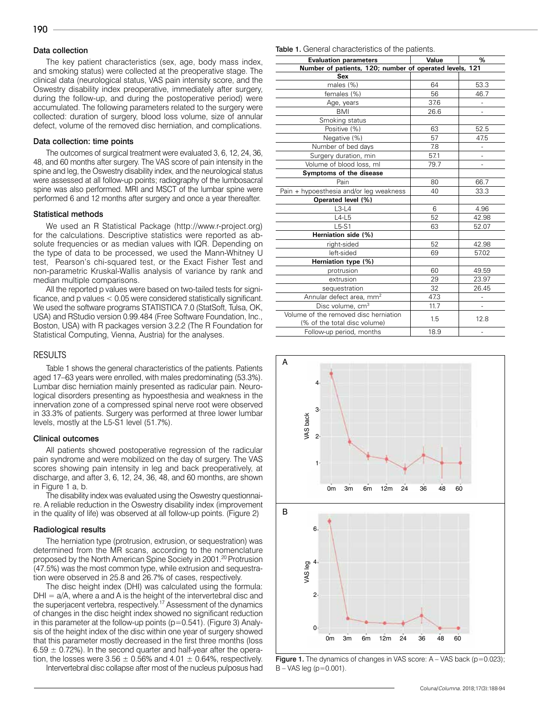# Data collection

The key patient characteristics (sex, age, body mass index, and smoking status) were collected at the preoperative stage. The clinical data (neurological status, VAS pain intensity score, and the Oswestry disability index preoperative, immediately after surgery, during the follow-up, and during the postoperative period) were accumulated. The following parameters related to the surgery were collected: duration of surgery, blood loss volume, size of annular defect, volume of the removed disc herniation, and complications.

## Data collection: time points

The outcomes of surgical treatment were evaluated 3, 6, 12, 24, 36, 48, and 60 months after surgery. The VAS score of pain intensity in the spine and leg, the Oswestry disability index, and the neurological status were assessed at all follow-up points; radiography of the lumbosacral spine was also performed. MRI and MSCT of the lumbar spine were performed 6 and 12 months after surgery and once a year thereafter.

#### Statistical methods

We used an R Statistical Package (http://www.r-project.org) for the calculations. Descriptive statistics were reported as absolute frequencies or as median values with IQR. Depending on the type of data to be processed, we used the Mann-Whitney U test, Pearson's chi-squared test, or the Exact Fisher Test and non-parametric Kruskal-Wallis analysis of variance by rank and median multiple comparisons.

All the reported p values were based on two-tailed tests for significance, and p values < 0.05 were considered statistically significant. We used the software programs STATISTICA 7.0 (StatSoft, Tulsa, OK, USA) and RStudio version 0.99.484 (Free Software Foundation, Inc., Boston, USA) with R packages version 3.2.2 (The R Foundation for Statistical Computing, Vienna, Austria) for the analyses.

#### RESULTS

Table 1 shows the general characteristics of the patients. Patients aged 17–63 years were enrolled, with males predominating (53.3%). Lumbar disc herniation mainly presented as radicular pain. Neurological disorders presenting as hypoesthesia and weakness in the innervation zone of a compressed spinal nerve root were observed in 33.3% of patients. Surgery was performed at three lower lumbar levels, mostly at the L5-S1 level (51.7%).

#### Clinical outcomes

All patients showed postoperative regression of the radicular pain syndrome and were mobilized on the day of surgery. The VAS scores showing pain intensity in leg and back preoperatively, at discharge, and after 3, 6, 12, 24, 36, 48, and 60 months, are shown in Figure 1 a, b.

The disability index was evaluated using the Oswestry questionnaire. A reliable reduction in the Oswestry disability index (improvement in the quality of life) was observed at all follow-up points. (Figure 2)

#### Radiological results

The herniation type (protrusion, extrusion, or sequestration) was determined from the MR scans, according to the nomenclature proposed by the North American Spine Society in 2001.20 Protrusion (47.5%) was the most common type, while extrusion and sequestration were observed in 25.8 and 26.7% of cases, respectively.

The disc height index (DHI) was calculated using the formula:  $DHI = a/A$ , where a and A is the height of the intervertebral disc and the superjacent vertebra, respectively.<sup>17</sup> Assessment of the dynamics of changes in the disc height index showed no significant reduction in this parameter at the follow-up points  $(p=0.541)$ . (Figure 3) Analysis of the height index of the disc within one year of surgery showed that this parameter mostly decreased in the first three months (loss  $6.59 \pm 0.72$ %). In the second quarter and half-year after the operation, the losses were  $3.56 \pm 0.56\%$  and  $4.01 \pm 0.64\%$ , respectively.

Intervertebral disc collapse after most of the nucleus pulposus had

#### Table 1. General characteristics of the patients.

| <b>Evaluation parameters</b>                            | Value | %             |  |  |  |  |
|---------------------------------------------------------|-------|---------------|--|--|--|--|
| Number of patients, 120; number of operated levels, 121 |       |               |  |  |  |  |
| Sex                                                     |       |               |  |  |  |  |
| males (%)                                               | 64    | 53.3          |  |  |  |  |
| females (%)                                             | 56    | 46.7          |  |  |  |  |
| Age, years                                              | 37.6  | $\frac{1}{2}$ |  |  |  |  |
| <b>BMI</b>                                              | 26.6  |               |  |  |  |  |
| Smoking status                                          |       |               |  |  |  |  |
| Positive (%)                                            | 63    | 52.5          |  |  |  |  |
| Negative (%)                                            | 57    | 47.5          |  |  |  |  |
| Number of bed days                                      | 7.8   |               |  |  |  |  |
| Surgery duration, min                                   | 57.1  | ÷,            |  |  |  |  |
| Volume of blood loss, ml                                | 79.7  |               |  |  |  |  |
| Symptoms of the disease                                 |       |               |  |  |  |  |
| Pain                                                    | 80    | 66.7          |  |  |  |  |
| Pain + hypoesthesia and/or leg weakness                 | 40    | 33.3          |  |  |  |  |
| Operated level (%)                                      |       |               |  |  |  |  |
| $L3-L4$                                                 | 6     | 4.96          |  |  |  |  |
| $L4-L5$                                                 | 52    | 42.98         |  |  |  |  |
| $L5-S1$                                                 | 63    | 52.07         |  |  |  |  |
| Herniation side (%)                                     |       |               |  |  |  |  |
| right-sided                                             | 52    | 42.98         |  |  |  |  |
| left-sided                                              | 69    | 57.02         |  |  |  |  |
| Herniation type (%)                                     |       |               |  |  |  |  |
| protrusion                                              | 60    | 49.59         |  |  |  |  |
| extrusion                                               | 29    | 23.97         |  |  |  |  |
| sequestration                                           | 32    | 26.45         |  |  |  |  |
| Annular defect area, mm <sup>2</sup>                    | 47.3  |               |  |  |  |  |
| Disc volume, cm <sup>3</sup>                            | 11.7  |               |  |  |  |  |
| Volume of the removed disc herniation                   |       |               |  |  |  |  |
| (% of the total disc volume)                            | 1.5   | 12.8          |  |  |  |  |
| Follow-up period, months                                | 18.9  |               |  |  |  |  |



**Figure 1.** The dynamics of changes in VAS score:  $A - VAS$  back ( $p=0.023$ );  $B - VAS$  leg ( $p = 0.001$ ).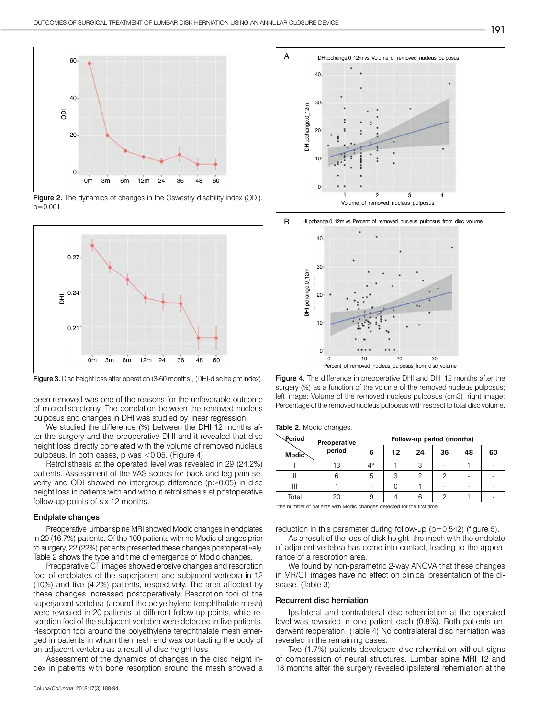

Figure 2. The dynamics of changes in the Oswestry disability index (ODI). p=0.001.



been removed was one of the reasons for the unfavorable outcome of microdiscectomy. The correlation between the removed nucleus pulposus and changes in DHI was studied by linear regression.

We studied the difference (%) between the DHI 12 months after the surgery and the preoperative DHI and it revealed that disc height loss directly correlated with the volume of removed nucleus pulposus. In both cases, p was <0.05. (Figure 4)

Retrolisthesis at the operated level was revealed in 29 (24.2%) patients. Assessment of the VAS scores for back and leg pain severity and ODI showed no intergroup difference (p>0.05) in disc height loss in patients with and without retrolisthesis at postoperative follow-up points of six-12 months.

#### Endplate changes

Preoperative lumbar spine MRI showed Modic changes in endplates in 20 (16.7%) patients. Of the 100 patients with no Modic changes prior to surgery, 22 (22%) patients presented these changes postoperatively. Table 2 shows the type and time of emergence of Modic changes.

Preoperative CT images showed erosive changes and resorption foci of endplates of the superjacent and subjacent vertebra in 12 (10%) and five (4.2%) patients, respectively. The area affected by these changes increased postoperatively. Resorption foci of the superjacent vertebra (around the polyethylene terephthalate mesh) were revealed in 20 patients at different follow-up points, while resorption foci of the subjacent vertebra were detected in five patients. Resorption foci around the polyethylene terephthalate mesh emerged in patients in whom the mesh end was contacting the body of an adjacent vertebra as a result of disc height loss.

Assessment of the dynamics of changes in the disc height index in patients with bone resorption around the mesh showed a



Figure 3. Disc height loss after operation (3-60 months), (DHI-disc height index). Figure 4. The difference in preoperative DHI and DHI 12 months after the surgery (%) as a function of the volume of the removed nucleus pulposus; left image: Volume of the removed nucleus pulposus (cm3); right image: Percentage of the removed nucleus pulposus with respect to total disc volume.

| Table 2. Modic changes. |  |  |  |  |
|-------------------------|--|--|--|--|
|-------------------------|--|--|--|--|

| Preoperative<br>period | Follow-up period (months) |    |    |    |    |    |  |
|------------------------|---------------------------|----|----|----|----|----|--|
|                        | 6                         | 12 | 24 | 36 | 48 | 60 |  |
| 13                     | ⁄l *                      |    |    |    |    |    |  |
|                        |                           | ◠  |    |    |    |    |  |
|                        |                           |    |    |    |    |    |  |
| 20                     |                           |    |    |    |    |    |  |
|                        |                           |    |    |    |    |    |  |

the number of patients with Modic changes detected for the first time.

reduction in this parameter during follow-up (p=0.542) (figure 5).

As a result of the loss of disk height, the mesh with the endplate of adjacent vertebra has come into contact, leading to the appearance of a resorption area.

We found by non-parametric 2-way ANOVA that these changes in MR/CT images have no effect on clinical presentation of the disease. (Table 3)

#### Recurrent disc herniation

Ipsilateral and contralateral disc reherniation at the operated level was revealed in one patient each (0.8%). Both patients underwent reoperation. (Table 4) No contralateral disc herniation was revealed in the remaining cases.

Two (1.7%) patients developed disc reherniation without signs of compression of neural structures. Lumbar spine MRI 12 and 18 months after the surgery revealed ipsilateral reherniation at the

191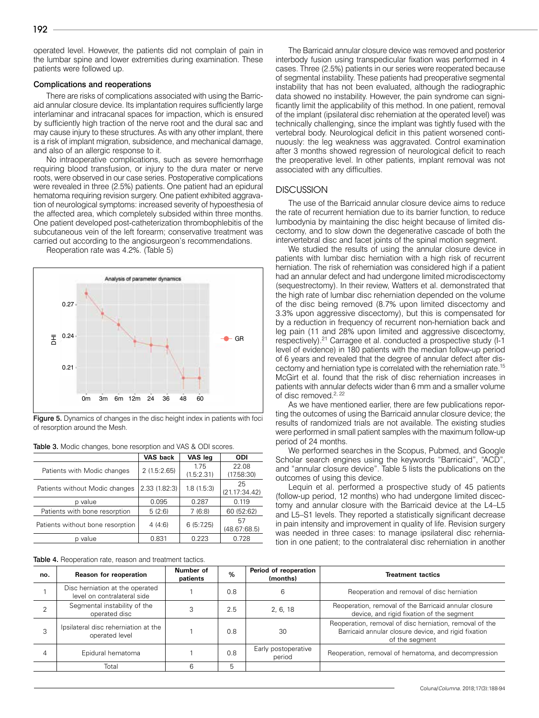operated level. However, the patients did not complain of pain in the lumbar spine and lower extremities during examination. These patients were followed up.

#### Complications and reoperations

There are risks of complications associated with using the Barricaid annular closure device. Its implantation requires sufficiently large interlaminar and intracanal spaces for impaction, which is ensured by sufficiently high traction of the nerve root and the dural sac and may cause injury to these structures. As with any other implant, there is a risk of implant migration, subsidence, and mechanical damage, and also of an allergic response to it.

No intraoperative complications, such as severe hemorrhage requiring blood transfusion, or injury to the dura mater or nerve roots, were observed in our case series. Postoperative complications were revealed in three (2.5%) patients. One patient had an epidural hematoma requiring revision surgery. One patient exhibited aggravation of neurological symptoms: increased severity of hypoesthesia of the affected area, which completely subsided within three months. One patient developed post-catheterization thrombophlebitis of the subcutaneous vein of the left forearm; conservative treatment was carried out according to the angiosurgeon's recommendations.

Reoperation rate was 4.2%. (Table 5)



Figure 5. Dynamics of changes in the disc height index in patients with foci of resorption around the Mesh.

| <b>RADIO OF MOGIC CHAMGES, DONG TOODIPHON AND A ODI SOCIOS.</b> |              |                    |                     |  |  |  |
|-----------------------------------------------------------------|--------------|--------------------|---------------------|--|--|--|
|                                                                 | VAS back     | VAS leg            | <b>ODI</b>          |  |  |  |
| Patients with Modic changes                                     | 2(1.5:2.65)  | 1.75<br>(1.5:2.31) | 22.08<br>(17.58:30) |  |  |  |
| Patients without Modic changes                                  | 2.33(1.82:3) | 1.8(1.5:3)         | 25<br>(21.17:34.42) |  |  |  |
| p value                                                         | 0.095        | 0.287              | 0.119               |  |  |  |
| Patients with bone resorption                                   | 5(2:6)       | 7(6:8)             | 60 (52:62)          |  |  |  |
| Patients without bone resorption                                | 4(4:6)       | 6(5:7.25)          | 57<br>(48.67:68.5)  |  |  |  |
| p value                                                         | 0.831        | 0.223              | 0.728               |  |  |  |

Table 3. Modic changes, bone resorption and VAS & ODI scores.

Table 4. Reoperation rate, reason and treatment tactics.

The Barricaid annular closure device was removed and posterior interbody fusion using transpedicular fixation was performed in 4 cases. Three (2.5%) patients in our series were reoperated because of segmental instability. These patients had preoperative segmental instability that has not been evaluated, although the radiographic data showed no instability. However, the pain syndrome can significantly limit the applicability of this method. In one patient, removal of the implant (ipsilateral disc reherniation at the operated level) was technically challenging, since the implant was tightly fused with the vertebral body. Neurological deficit in this patient worsened continuously: the leg weakness was aggravated. Control examination after 3 months showed regression of neurological deficit to reach the preoperative level. In other patients, implant removal was not associated with any difficulties.

## **DISCUSSION**

The use of the Barricaid annular closure device aims to reduce the rate of recurrent herniation due to its barrier function, to reduce lumbodynia by maintaining the disc height because of limited discectomy, and to slow down the degenerative cascade of both the intervertebral disc and facet joints of the spinal motion segment.

We studied the results of using the annular closure device in patients with lumbar disc herniation with a high risk of recurrent herniation. The risk of reherniation was considered high if a patient had an annular defect and had undergone limited microdiscectomy (sequestrectomy). In their review, Watters et al. demonstrated that the high rate of lumbar disc reherniation depended on the volume of the disc being removed (8.7% upon limited discectomy and 3.3% upon aggressive discectomy), but this is compensated for by a reduction in frequency of recurrent non-herniation back and leg pain (11 and 28% upon limited and aggressive discectomy, respectively).<sup>21</sup> Carragee et al. conducted a prospective study (I-1 level of evidence) in 180 patients with the median follow-up period of 6 years and revealed that the degree of annular defect after discectomy and herniation type is correlated with the reherniation rate.15 McGirt et al. found that the risk of disc reherniation increases in patients with annular defects wider than 6 mm and a smaller volume of disc removed.<sup>2, 22</sup>

As we have mentioned earlier, there are few publications reporting the outcomes of using the Barricaid annular closure device; the results of randomized trials are not available. The existing studies were performed in small patient samples with the maximum follow-up period of 24 months.

We performed searches in the Scopus, Pubmed, and Google Scholar search engines using the keywords "Barricaid", "ACD", and "annular closure device". Table 5 lists the publications on the outcomes of using this device.

Lequin et al. performed a prospective study of 45 patients (follow-up period, 12 months) who had undergone limited discectomy and annular closure with the Barricaid device at the L4–L5 and L5–S1 levels. They reported a statistically significant decrease in pain intensity and improvement in quality of life. Revision surgery was needed in three cases: to manage ipsilateral disc reherniation in one patient; to the contralateral disc reherniation in another

| no. | Reason for reoperation                                         | Number of<br>patients | %   | Period of reoperation<br>(months) | <b>Treatment tactics</b>                                                                                                          |
|-----|----------------------------------------------------------------|-----------------------|-----|-----------------------------------|-----------------------------------------------------------------------------------------------------------------------------------|
|     | Disc herniation at the operated<br>level on contralateral side |                       | 0.8 |                                   | Reoperation and removal of disc herniation                                                                                        |
|     | Segmental instability of the<br>operated disc                  |                       | 2.5 | 2, 6, 18                          | Reoperation, removal of the Barricaid annular closure<br>device, and rigid fixation of the segment                                |
|     | Ipsilateral disc reherniation at the<br>operated level         |                       | 0.8 | 30                                | Reoperation, removal of disc herniation, removal of the<br>Barricaid annular closure device, and rigid fixation<br>of the segment |
| 4   | Epidural hematoma                                              |                       | 0.8 | Early postoperative<br>period     | Reoperation, removal of hematoma, and decompression                                                                               |
|     | Total                                                          | 6                     | 5   |                                   |                                                                                                                                   |

192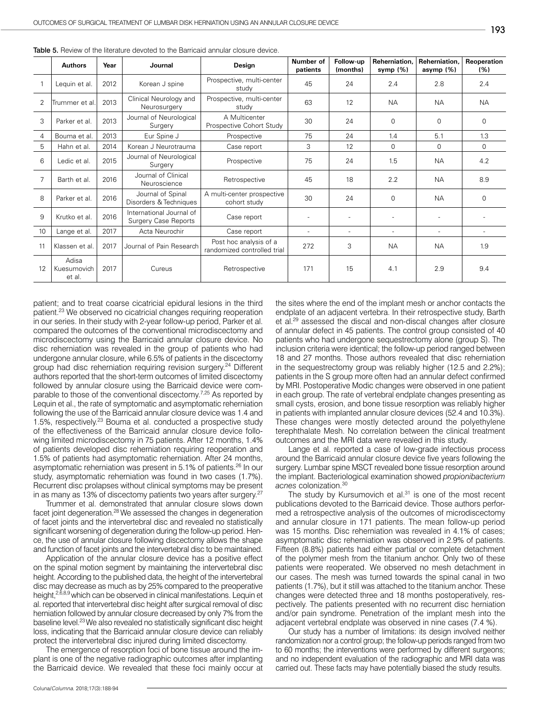|    | <b>Authors</b>                 | Year | Journal                                                 | Design                                                | Number of<br>patients | Follow-up<br>(months) | Reherniation.<br>symp $(%)$ | Reherniation.<br>asymp $(%)$ | <b>Reoperation</b><br>(%) |
|----|--------------------------------|------|---------------------------------------------------------|-------------------------------------------------------|-----------------------|-----------------------|-----------------------------|------------------------------|---------------------------|
|    | Lequin et al.                  | 2012 | Korean J spine                                          | Prospective, multi-center<br>study                    | 45                    | 24                    | 2.4                         | 2.8                          | 2.4                       |
| 2  | Trummer et al                  | 2013 | Clinical Neurology and<br>Neurosurgery                  | Prospective, multi-center<br>studv                    | 63                    | 12                    | <b>NA</b>                   | <b>NA</b>                    | <b>NA</b>                 |
| 3  | Parker et al.                  | 2013 | Journal of Neurological<br>Surgery                      | A Multicenter<br>Prospective Cohort Study             | 30                    | 24                    | $\Omega$                    | $\mathbf 0$                  | 0                         |
| 4  | Bouma et al.                   | 2013 | Eur Spine J                                             | Prospective                                           | 75                    | 24                    | 1.4                         | 5.1                          | 1.3                       |
| 5  | Hahn et al.                    | 2014 | Korean J Neurotrauma                                    | Case report                                           | 3                     | 12                    | 0                           | $\mathbf 0$                  | $\mathbf 0$               |
| 6  | Ledic et al.                   | 2015 | Journal of Neurological<br>Surgery                      | Prospective                                           | 75                    | 24                    | 1.5                         | <b>NA</b>                    | 4.2                       |
| 7  | Barth et al.                   | 2016 | Journal of Clinical<br>Neuroscience                     | Retrospective                                         | 45                    | 18                    | 2.2                         | <b>NA</b>                    | 8.9                       |
| 8  | Parker et al.                  | 2016 | Journal of Spinal<br>Disorders & Techniques             | A multi-center prospective<br>cohort study            | 30                    | 24                    | $\Omega$                    | <b>NA</b>                    | 0                         |
| 9  | Krutko et al.                  | 2016 | International Journal of<br><b>Surgery Case Reports</b> | Case report                                           |                       |                       |                             |                              |                           |
| 10 | Lange et al.                   | 2017 | Acta Neurochir                                          | Case report                                           | $\sim$                | $\sim$                | $\equiv$                    | $\overline{\phantom{a}}$     |                           |
| 11 | Klassen et al.                 | 2017 | Journal of Pain Research                                | Post hoc analysis of a<br>randomized controlled trial | 272                   | 3                     | <b>NA</b>                   | <b>NA</b>                    | 1.9                       |
| 12 | Adisa<br>Kuesumovich<br>et al. | 2017 | Cureus                                                  | Retrospective                                         | 171                   | 15                    | 4.1                         | 2.9                          | 9.4                       |

Table 5. Review of the literature devoted to the Barricaid annular closure device.

patient; and to treat coarse cicatricial epidural lesions in the third patient.23 We observed no cicatricial changes requiring reoperation in our series. In their study with 2-year follow-up period, Parker et al. compared the outcomes of the conventional microdiscectomy and microdiscectomy using the Barricaid annular closure device. No disc reherniation was revealed in the group of patients who had undergone annular closure, while 6.5% of patients in the discectomy group had disc reherniation requiring revision surgery.<sup>24</sup> Different authors reported that the short-term outcomes of limited discectomy followed by annular closure using the Barricaid device were comparable to those of the conventional discectomy.<sup>7,25</sup> As reported by Lequin et al., the rate of symptomatic and asymptomatic reherniation following the use of the Barricaid annular closure device was 1.4 and 1.5%, respectively.23 Bouma et al. conducted a prospective study of the effectiveness of the Barricaid annular closure device following limited microdiscectomy in 75 patients. After 12 months, 1.4% of patients developed disc reherniation requiring reoperation and 1.5% of patients had asymptomatic reherniation. After 24 months, asymptomatic reherniation was present in 5.1% of patients.<sup>26</sup> In our study, asymptomatic reherniation was found in two cases (1.7%). Recurrent disc prolapses without clinical symptoms may be present in as many as 13% of discectomy patients two years after surgery.27

Trummer et al. demonstrated that annular closure slows down facet joint degeneration.28 We assessed the changes in degeneration of facet joints and the intervertebral disc and revealed no statistically significant worsening of degeneration during the follow-up period. Hence, the use of annular closure following discectomy allows the shape and function of facet joints and the intervertebral disc to be maintained.

Application of the annular closure device has a positive effect on the spinal motion segment by maintaining the intervertebral disc height. According to the published data, the height of the intervertebral disc may decrease as much as by 25% compared to the preoperative height,<sup>2,6,8,9</sup> which can be observed in clinical manifestations. Lequin et al. reported that intervertebral disc height after surgical removal of disc herniation followed by annular closure decreased by only 7% from the baseline level.23 We also revealed no statistically significant disc height loss, indicating that the Barricaid annular closure device can reliably protect the intervertebral disc injured during limited discectomy.

The emergence of resorption foci of bone tissue around the implant is one of the negative radiographic outcomes after implanting the Barricaid device. We revealed that these foci mainly occur at the sites where the end of the implant mesh or anchor contacts the endplate of an adjacent vertebra. In their retrospective study, Barth et al.29 assessed the discal and non-discal changes after closure of annular defect in 45 patients. The control group consisted of 40 patients who had undergone sequestrectomy alone (group S). The inclusion criteria were identical; the follow-up period ranged between 18 and 27 months. Those authors revealed that disc reherniation in the sequestrectomy group was reliably higher (12.5 and 2.2%); patients in the S group more often had an annular defect confirmed by MRI. Postoperative Modic changes were observed in one patient in each group. The rate of vertebral endplate changes presenting as small cysts, erosion, and bone tissue resorption was reliably higher in patients with implanted annular closure devices (52.4 and 10.3%). These changes were mostly detected around the polyethylene terephthalate Mesh. No correlation between the clinical treatment outcomes and the MRI data were revealed in this study.

Lange et al. reported a case of low-grade infectious process around the Barricaid annular closure device five years following the surgery. Lumbar spine MSCT revealed bone tissue resorption around the implant. Bacteriological examination showed *propionibacterium acnes* colonization.30

The study by Kursumovich et al.<sup>31</sup> is one of the most recent publications devoted to the Barricaid device. Those authors performed a retrospective analysis of the outcomes of microdiscectomy and annular closure in 171 patients. The mean follow-up period was 15 months. Disc reherniation was revealed in 4.1% of cases; asymptomatic disc reherniation was observed in 2.9% of patients. Fifteen (8.8%) patients had either partial or complete detachment of the polymer mesh from the titanium anchor. Only two of these patients were reoperated. We observed no mesh detachment in our cases. The mesh was turned towards the spinal canal in two patients (1.7%), but it still was attached to the titanium anchor. These changes were detected three and 18 months postoperatively, respectively. The patients presented with no recurrent disc herniation and/or pain syndrome. Penetration of the implant mesh into the adjacent vertebral endplate was observed in nine cases (7.4 %).

Our study has a number of limitations: its design involved neither randomization nor a control group; the follow-up periods ranged from two to 60 months; the interventions were performed by different surgeons; and no independent evaluation of the radiographic and MRI data was carried out. These facts may have potentially biased the study results.